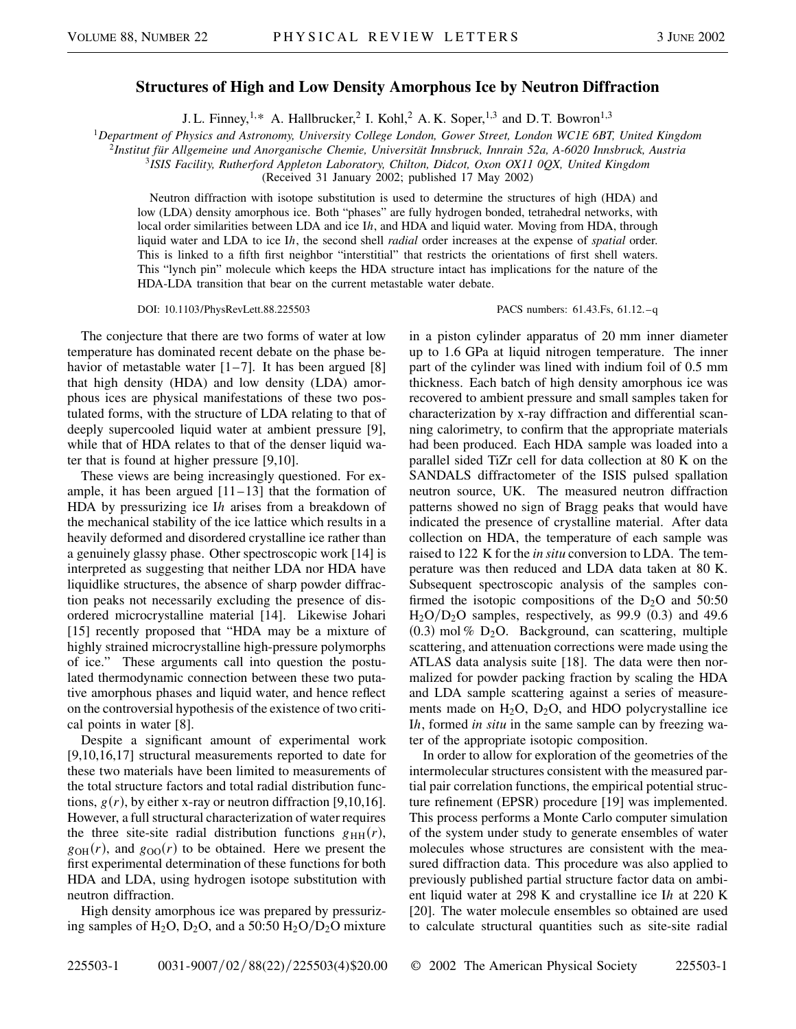## **Structures of High and Low Density Amorphous Ice by Neutron Diffraction**

J. L. Finney,  $1, * A$ . Hallbrucker, 2 I. Kohl, 2 A. K. Soper,  $1, 3$  and D. T. Bowron<sup>1,3</sup>

<sup>1</sup>*Department of Physics and Astronomy, University College London, Gower Street, London WC1E 6BT, United Kingdom*

<sup>2</sup>*Institut für Allgemeine und Anorganische Chemie, Universität Innsbruck, Innrain 52a, A-6020 Innsbruck, Austria*

<sup>3</sup>*ISIS Facility, Rutherford Appleton Laboratory, Chilton, Didcot, Oxon OX11 0QX, United Kingdom*

(Received 31 January 2002; published 17 May 2002)

Neutron diffraction with isotope substitution is used to determine the structures of high (HDA) and low (LDA) density amorphous ice. Both "phases" are fully hydrogen bonded, tetrahedral networks, with local order similarities between LDA and ice Ih, and HDA and liquid water. Moving from HDA, through liquid water and LDA to ice I*h*, the second shell *radial* order increases at the expense of *spatial* order. This is linked to a fifth first neighbor "interstitial" that restricts the orientations of first shell waters. This "lynch pin" molecule which keeps the HDA structure intact has implications for the nature of the HDA-LDA transition that bear on the current metastable water debate.

DOI: 10.1103/PhysRevLett.88.225503 PACS numbers: 61.43.Fs, 61.12.–q

The conjecture that there are two forms of water at low temperature has dominated recent debate on the phase behavior of metastable water  $[1-7]$ . It has been argued  $[8]$ that high density (HDA) and low density (LDA) amorphous ices are physical manifestations of these two postulated forms, with the structure of LDA relating to that of deeply supercooled liquid water at ambient pressure [9], while that of HDA relates to that of the denser liquid water that is found at higher pressure [9,10].

These views are being increasingly questioned. For example, it has been argued  $[11-13]$  that the formation of HDA by pressurizing ice I*h* arises from a breakdown of the mechanical stability of the ice lattice which results in a heavily deformed and disordered crystalline ice rather than a genuinely glassy phase. Other spectroscopic work [14] is interpreted as suggesting that neither LDA nor HDA have liquidlike structures, the absence of sharp powder diffraction peaks not necessarily excluding the presence of disordered microcrystalline material [14]. Likewise Johari [15] recently proposed that "HDA may be a mixture of highly strained microcrystalline high-pressure polymorphs of ice." These arguments call into question the postulated thermodynamic connection between these two putative amorphous phases and liquid water, and hence reflect on the controversial hypothesis of the existence of two critical points in water [8].

Despite a significant amount of experimental work [9,10,16,17] structural measurements reported to date for these two materials have been limited to measurements of the total structure factors and total radial distribution functions,  $g(r)$ , by either x-ray or neutron diffraction [9,10,16]. However, a full structural characterization of water requires the three site-site radial distribution functions  $g_{HH}(r)$ ,  $g_{OH}(r)$ , and  $g_{OO}(r)$  to be obtained. Here we present the first experimental determination of these functions for both HDA and LDA, using hydrogen isotope substitution with neutron diffraction.

High density amorphous ice was prepared by pressurizing samples of  $H_2O$ ,  $D_2O$ , and a 50:50  $H_2O/D_2O$  mixture in a piston cylinder apparatus of 20 mm inner diameter up to 1.6 GPa at liquid nitrogen temperature. The inner part of the cylinder was lined with indium foil of 0.5 mm thickness. Each batch of high density amorphous ice was recovered to ambient pressure and small samples taken for characterization by x-ray diffraction and differential scanning calorimetry, to confirm that the appropriate materials had been produced. Each HDA sample was loaded into a parallel sided TiZr cell for data collection at 80 K on the SANDALS diffractometer of the ISIS pulsed spallation neutron source, UK. The measured neutron diffraction patterns showed no sign of Bragg peaks that would have indicated the presence of crystalline material. After data collection on HDA, the temperature of each sample was raised to 122 K for the *in situ* conversion to LDA. The temperature was then reduced and LDA data taken at 80 K. Subsequent spectroscopic analysis of the samples confirmed the isotopic compositions of the  $D_2O$  and 50:50  $H<sub>2</sub>O/D<sub>2</sub>O$  samples, respectively, as 99.9 (0.3) and 49.6  $(0.3)$  mol %  $D_2O$ . Background, can scattering, multiple scattering, and attenuation corrections were made using the ATLAS data analysis suite [18]. The data were then normalized for powder packing fraction by scaling the HDA and LDA sample scattering against a series of measurements made on  $H_2O$ ,  $D_2O$ , and HDO polycrystalline ice I*h*, formed *in situ* in the same sample can by freezing water of the appropriate isotopic composition.

In order to allow for exploration of the geometries of the intermolecular structures consistent with the measured partial pair correlation functions, the empirical potential structure refinement (EPSR) procedure [19] was implemented. This process performs a Monte Carlo computer simulation of the system under study to generate ensembles of water molecules whose structures are consistent with the measured diffraction data. This procedure was also applied to previously published partial structure factor data on ambient liquid water at 298 K and crystalline ice I*h* at 220 K [20]. The water molecule ensembles so obtained are used to calculate structural quantities such as site-site radial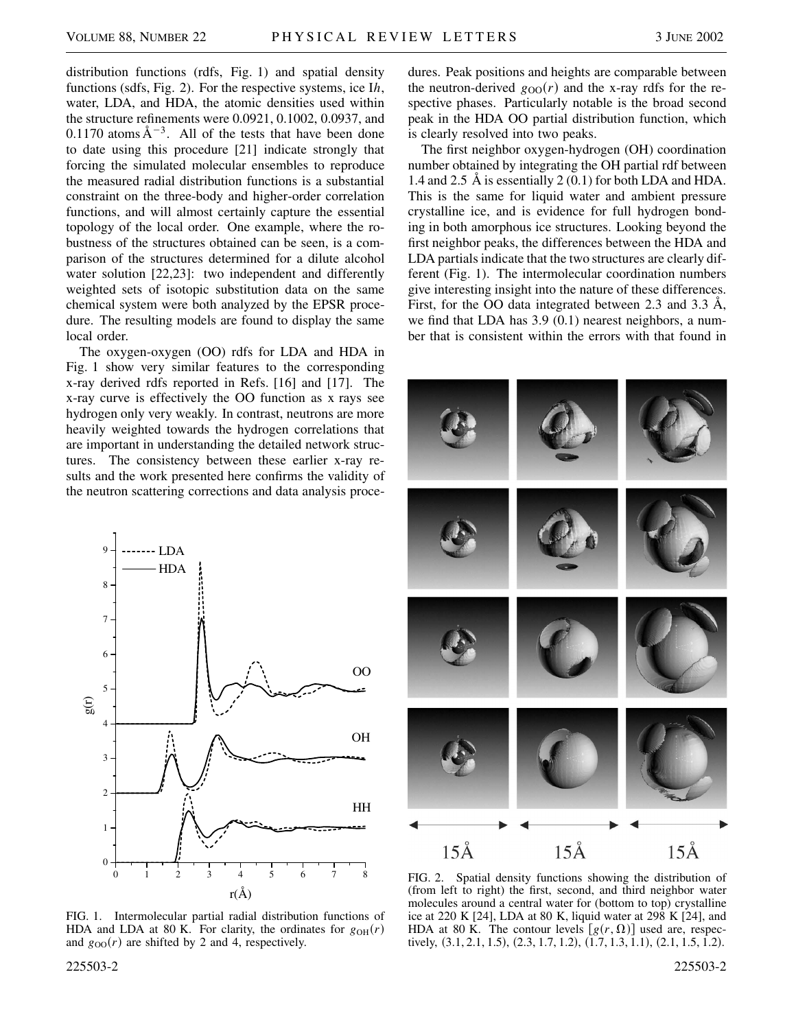distribution functions (rdfs, Fig. 1) and spatial density functions (sdfs, Fig. 2). For the respective systems, ice I*h*, water, LDA, and HDA, the atomic densities used within the structure refinements were 0.0921, 0.1002, 0.0937, and 0.1170 atoms  $A^{-3}$ . All of the tests that have been done to date using this procedure [21] indicate strongly that forcing the simulated molecular ensembles to reproduce the measured radial distribution functions is a substantial constraint on the three-body and higher-order correlation functions, and will almost certainly capture the essential topology of the local order. One example, where the robustness of the structures obtained can be seen, is a comparison of the structures determined for a dilute alcohol water solution [22,23]: two independent and differently weighted sets of isotopic substitution data on the same chemical system were both analyzed by the EPSR procedure. The resulting models are found to display the same local order.

The oxygen-oxygen (OO) rdfs for LDA and HDA in Fig. 1 show very similar features to the corresponding x-ray derived rdfs reported in Refs. [16] and [17]. The x-ray curve is effectively the OO function as x rays see hydrogen only very weakly. In contrast, neutrons are more heavily weighted towards the hydrogen correlations that are important in understanding the detailed network structures. The consistency between these earlier x-ray results and the work presented here confirms the validity of the neutron scattering corrections and data analysis proce-



FIG. 1. Intermolecular partial radial distribution functions of HDA and LDA at 80 K. For clarity, the ordinates for  $g_{OH}(r)$ and  $g_{OO}(r)$  are shifted by 2 and 4, respectively.

225503-2 225503-2

dures. Peak positions and heights are comparable between the neutron-derived  $g_{OO}(r)$  and the x-ray rdfs for the respective phases. Particularly notable is the broad second peak in the HDA OO partial distribution function, which is clearly resolved into two peaks.

The first neighbor oxygen-hydrogen (OH) coordination number obtained by integrating the OH partial rdf between 1.4 and 2.5 Å is essentially 2 (0.1) for both LDA and HDA. This is the same for liquid water and ambient pressure crystalline ice, and is evidence for full hydrogen bonding in both amorphous ice structures. Looking beyond the first neighbor peaks, the differences between the HDA and LDA partials indicate that the two structures are clearly different (Fig. 1). The intermolecular coordination numbers give interesting insight into the nature of these differences. First, for the OO data integrated between 2.3 and 3.3 Å, we find that LDA has 3.9 (0.1) nearest neighbors, a number that is consistent within the errors with that found in



FIG. 2. Spatial density functions showing the distribution of (from left to right) the first, second, and third neighbor water molecules around a central water for (bottom to top) crystalline ice at 220 K [24], LDA at 80 K, liquid water at 298 K [24], and HDA at 80 K. The contour levels  $[g(r, \Omega)]$  used are, respectively,  $(3.1, 2.1, 1.5), (2.3, 1.7, 1.2), (1.7, 1.3, 1.1), (2.1, 1.5, 1.2).$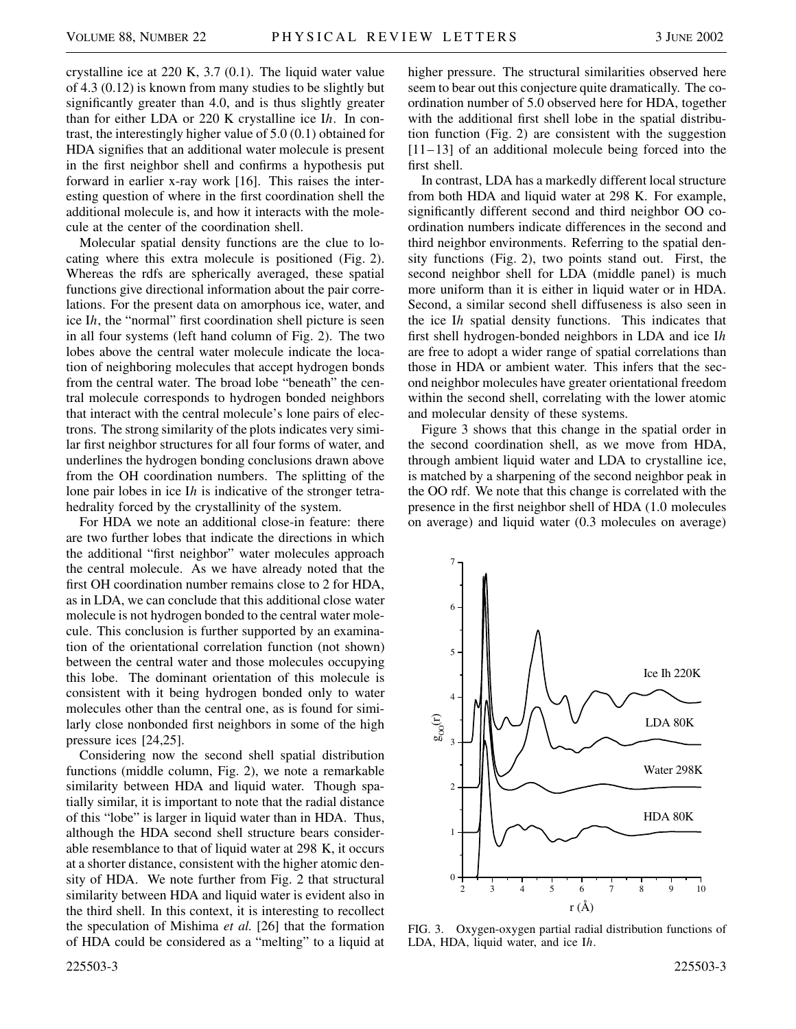crystalline ice at 220 K, 3.7 (0.1). The liquid water value of 4.3 (0.12) is known from many studies to be slightly but significantly greater than 4.0, and is thus slightly greater than for either LDA or 220 K crystalline ice I*h*. In contrast, the interestingly higher value of 5.0 (0.1) obtained for HDA signifies that an additional water molecule is present in the first neighbor shell and confirms a hypothesis put forward in earlier x-ray work [16]. This raises the interesting question of where in the first coordination shell the additional molecule is, and how it interacts with the molecule at the center of the coordination shell.

Molecular spatial density functions are the clue to locating where this extra molecule is positioned (Fig. 2). Whereas the rdfs are spherically averaged, these spatial functions give directional information about the pair correlations. For the present data on amorphous ice, water, and ice I*h*, the "normal" first coordination shell picture is seen in all four systems (left hand column of Fig. 2). The two lobes above the central water molecule indicate the location of neighboring molecules that accept hydrogen bonds from the central water. The broad lobe "beneath" the central molecule corresponds to hydrogen bonded neighbors that interact with the central molecule's lone pairs of electrons. The strong similarity of the plots indicates very similar first neighbor structures for all four forms of water, and underlines the hydrogen bonding conclusions drawn above from the OH coordination numbers. The splitting of the lone pair lobes in ice I*h* is indicative of the stronger tetrahedrality forced by the crystallinity of the system.

For HDA we note an additional close-in feature: there are two further lobes that indicate the directions in which the additional "first neighbor" water molecules approach the central molecule. As we have already noted that the first OH coordination number remains close to 2 for HDA, as in LDA, we can conclude that this additional close water molecule is not hydrogen bonded to the central water molecule. This conclusion is further supported by an examination of the orientational correlation function (not shown) between the central water and those molecules occupying this lobe. The dominant orientation of this molecule is consistent with it being hydrogen bonded only to water molecules other than the central one, as is found for similarly close nonbonded first neighbors in some of the high pressure ices [24,25].

Considering now the second shell spatial distribution functions (middle column, Fig. 2), we note a remarkable similarity between HDA and liquid water. Though spatially similar, it is important to note that the radial distance of this "lobe" is larger in liquid water than in HDA. Thus, although the HDA second shell structure bears considerable resemblance to that of liquid water at 298 K, it occurs at a shorter distance, consistent with the higher atomic density of HDA. We note further from Fig. 2 that structural similarity between HDA and liquid water is evident also in the third shell. In this context, it is interesting to recollect the speculation of Mishima *et al.* [26] that the formation of HDA could be considered as a "melting" to a liquid at

In contrast, LDA has a markedly different local structure from both HDA and liquid water at 298 K. For example, significantly different second and third neighbor OO coordination numbers indicate differences in the second and third neighbor environments. Referring to the spatial density functions (Fig. 2), two points stand out. First, the second neighbor shell for LDA (middle panel) is much more uniform than it is either in liquid water or in HDA. Second, a similar second shell diffuseness is also seen in the ice I*h* spatial density functions. This indicates that first shell hydrogen-bonded neighbors in LDA and ice I*h* are free to adopt a wider range of spatial correlations than those in HDA or ambient water. This infers that the second neighbor molecules have greater orientational freedom within the second shell, correlating with the lower atomic and molecular density of these systems.

Figure 3 shows that this change in the spatial order in the second coordination shell, as we move from HDA, through ambient liquid water and LDA to crystalline ice, is matched by a sharpening of the second neighbor peak in the OO rdf. We note that this change is correlated with the presence in the first neighbor shell of HDA (1.0 molecules on average) and liquid water (0.3 molecules on average)



FIG. 3. Oxygen-oxygen partial radial distribution functions of LDA, HDA, liquid water, and ice I*h*.